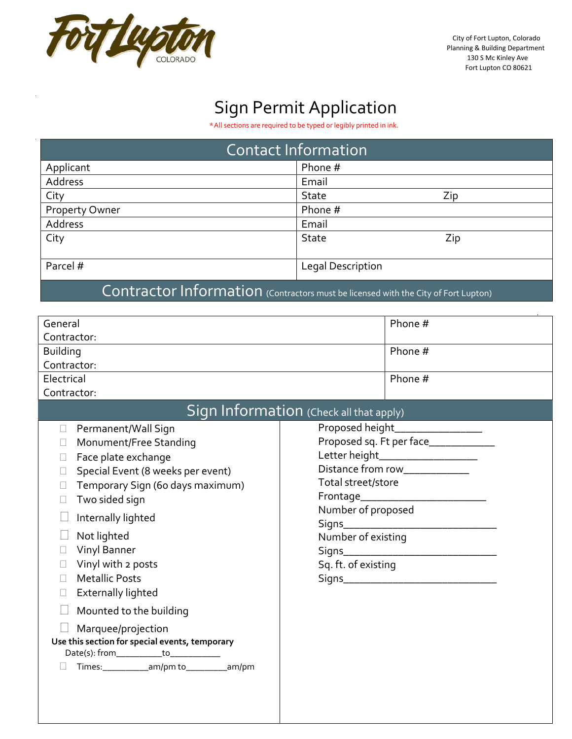

City of Fort Lupton, Colorado Planning & Building Department 130 S Mc Kinley Ave Fort Lupton CO 80621

## Sign Permit Application<br>\*All sections are required to be typed or legibly printed in ink.

| <b>Contact Information</b> |                     |  |  |  |  |  |  |
|----------------------------|---------------------|--|--|--|--|--|--|
| Applicant                  | Phone #             |  |  |  |  |  |  |
| Address                    | Email               |  |  |  |  |  |  |
| City                       | Zip<br><b>State</b> |  |  |  |  |  |  |
| <b>Property Owner</b>      | Phone #             |  |  |  |  |  |  |
| Address                    | Email               |  |  |  |  |  |  |
| City                       | <b>State</b><br>Zip |  |  |  |  |  |  |
| Parcel #                   | Legal Description   |  |  |  |  |  |  |

Contractor Information (Contractors must be licensed with the City of Fort Lupton)

| Contractor:<br>Phone #<br><b>Building</b>                             |  |  |  |  |  |  |  |
|-----------------------------------------------------------------------|--|--|--|--|--|--|--|
|                                                                       |  |  |  |  |  |  |  |
|                                                                       |  |  |  |  |  |  |  |
| Contractor:                                                           |  |  |  |  |  |  |  |
| Phone #<br>Electrical                                                 |  |  |  |  |  |  |  |
| Contractor:                                                           |  |  |  |  |  |  |  |
| Sign Information (Check all that apply)                               |  |  |  |  |  |  |  |
| Proposed height__________________<br>Permanent/Wall Sign<br>$\Box$    |  |  |  |  |  |  |  |
| Proposed sq. Ft per face______________<br>Monument/Free Standing<br>П |  |  |  |  |  |  |  |
| Letter height____________________<br>Face plate exchange<br>П         |  |  |  |  |  |  |  |
| Distance from row_____________<br>Special Event (8 weeks per event)   |  |  |  |  |  |  |  |
| Total street/store<br>Temporary Sign (6o days maximum)                |  |  |  |  |  |  |  |
| Two sided sign<br>П                                                   |  |  |  |  |  |  |  |
| Number of proposed<br>Internally lighted                              |  |  |  |  |  |  |  |
| Not lighted<br>Number of existing                                     |  |  |  |  |  |  |  |
| Vinyl Banner                                                          |  |  |  |  |  |  |  |
| Vinyl with 2 posts<br>Sq. ft. of existing<br>$\Box$                   |  |  |  |  |  |  |  |
| <b>Metallic Posts</b><br>$\Box$                                       |  |  |  |  |  |  |  |
| <b>Externally lighted</b><br>П                                        |  |  |  |  |  |  |  |
| Mounted to the building                                               |  |  |  |  |  |  |  |
| Marquee/projection                                                    |  |  |  |  |  |  |  |
| Use this section for special events, temporary                        |  |  |  |  |  |  |  |
| Date(s): from____________to_____________                              |  |  |  |  |  |  |  |
| Times:_____________am/pm to___________am/pm                           |  |  |  |  |  |  |  |
|                                                                       |  |  |  |  |  |  |  |
|                                                                       |  |  |  |  |  |  |  |
|                                                                       |  |  |  |  |  |  |  |